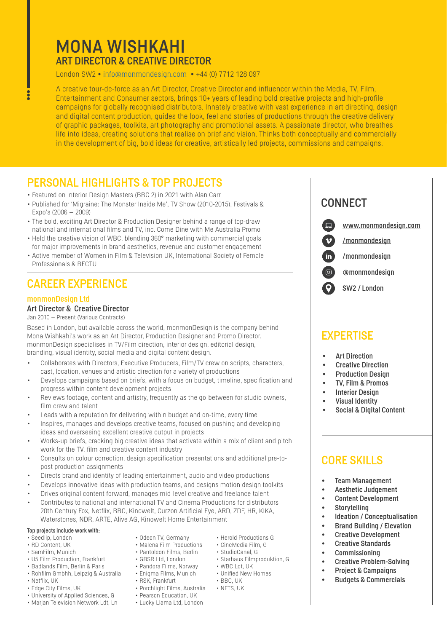# MONA WISHKAHI ART DIRECTOR & CREATIVE DIRECTOR

London SW2 • [info@monmondesign.com](mailto:info%40monmondesign.com?subject=) • +44 (0) 7712 128 097

A creative tour-de-force as an Art Director, Creative Director and influencer within the Media, TV, Film,<br>Entertainment and Consumer sectors, brings 10+ years of leading bold creative projects and high-profile early paying for globally recognised distributors. Inhately creative with vast experience in art directing, acsign<br>and digital content production, guides the look, feel and stories of productions through the creative deliv life into ideas, creating solutions that realise on brief and vision. Thinks both conceptually and commercially<br>in the develonment of hig, bold ideas for creative, artistically led projects, commissions and campaigns A creative tour-de-force as an Art Director, Creative Director and influencer within the Media, TV, Film, campaigns for globally recognised distributors. Innately creative with vast experience in art directing, design of graphic packages, toolkits, art photography and promotional assets. A passionate director, who breathes in the development of big, bold ideas for creative, artistically led projects, commissions and campaigns.

# PERSONAL HIGHLIGHTS & TOP PROJECTS PERSONAL MEDIANTS & TOP PROJECTS

- Featured on Interior Design Masters (BBC 2) in 2021 with Alan Carr<br>• Published for 'Migraine: The Monster Inside Me' TV Show (2010-20
- Published for 'Migraine: The Monster Inside Me', TV Show (2010-2015), Festivals & Expo's (2006 – 2009)
- The bold, exciting Art Director & Production Designer behind a range of top-draw national and international films and TV, inc. Come Dine with Me Australia Promo
- Held the creative vision of WBC, blending 360° marketing with commercial goals for major improvements in brand aesthetics, revenue and customer engagement
- Active member of Women in Film & Television UK, International Society of Female Professionals & BECTU

## CAREER EXPERIENCE

#### monmonDesign Ltd

#### Art Director & Creative Director

Jan 2010 – Present (Various Contracts)

Based in London, but available across the world, monmonDesign is the company behind Mona Wishkahi's work as an Art Director, Production Designer and Promo Director. monmonDesign specialises in TV/Film direction, interior design, editorial design, branding, visual identity, social media and digital content design.

- Collaborates with Directors, Executive Producers, Film/TV crew on scripts, characters, cast, location, venues and artistic direction for a variety of productions
- Develops campaigns based on briefs, with a focus on budget, timeline, specification and progress within content development projects
- Reviews footage, content and artistry, frequently as the go-between for studio owners, film crew and talent
- Leads with a reputation for delivering within budget and on-time, every time
- Inspires, manages and develops creative teams, focused on pushing and developing ideas and overseeing excellent creative output in projects
- Works-up briefs, cracking big creative ideas that activate within a mix of client and pitch work for the TV, film and creative content industry
- Consults on colour correction, design specification presentations and additional pre-topost production assignments
- Directs brand and identity of leading entertainment, audio and video productions
- Develops innovative ideas with production teams, and designs motion design toolkits
- Drives original content forward, manages mid-level creative and freelance talent
- Contributes to national and international TV and Cinema Productions for distributors 20th Century Fox, Netflix, BBC, Kinowelt, Curzon Artificial Eye, ARD, ZDF, HR, KIKA, Waterstones, NDR, ARTE, Alive AG, Kinowelt Home Entertainment

# Top projects include work with:<br>• Seedlip. London

- 
- RD Content, UK Malena Film Productions
- 
- U5 Film Production, Frankfurt GBSR Ltd, London Starhaus Filmproduktion, G
- Badlands Film, Berlin & Paris Pandora Films, Norway WBC Ldt, UK<br>• Robfilm Gmbbb Leinzin & Australia Fnigma Films, Munich Unified New Homes • Rohfilm Gmbhh, Leinzig & Australia
- Netflix, UK RSK, Frankfurt BBC, UK
- 
- Edge City Films, UK Porchlight Films, Australia NFTS, UK
- University of Applied Sciences, G Pearson Education, UK
- Marjan Television Network Ldt, Ln Lucky Llama Ltd, London
- Odeon TV, Germany Herold Productions G<br>• Malena Film Productions CineMedia Film, G
- SamFilm, Munich Pantoleon Films, Berlin StudioCanal, G
	-
	- -
	-
	-
	-
	-

# **CONNECT**

 $\mathbf v$ 

in)

 $\Box$ [www.monmondesign.com](https://www.monmondesign.com/)

[/monmondesign](https://vimeo.com/monmondesign)

[/monmondesign](https://www.linkedin.com/in/monmondesign/)

 $\boxed{0}$ [@monmondesign](https://www.instagram.com/monmondesign/)

 $\bullet$ [SW2 / London](https://www.google.co.uk/maps/place/Brixton,+London/@51.4588448,-0.1184748,15z/data=!3m1!4b1!4m5!3m4!1s0x487604393204f5d1:0xd929bf8f7af6c791!8m2!3d51.4612794!4d-0.1156148)

### **FXPERTISE**

- **Art Direction**
- **Creative Direction**
- Production Design
- TV, Film & Promos
- **Interior Design**
- Visual Identity
- Social & Digital Content

### CORE SKILLS

- **Team Management**
- Aesthetic Judgement
- Content Development
- Storytelling
- Ideation / Conceptualisation
- Brand Building / Elevation
- Creative Development
- **Creative Standards**
- Commissioning
- 
- Creative Problem-Solving
- Project & Campaigns
- Budgets & Commercials